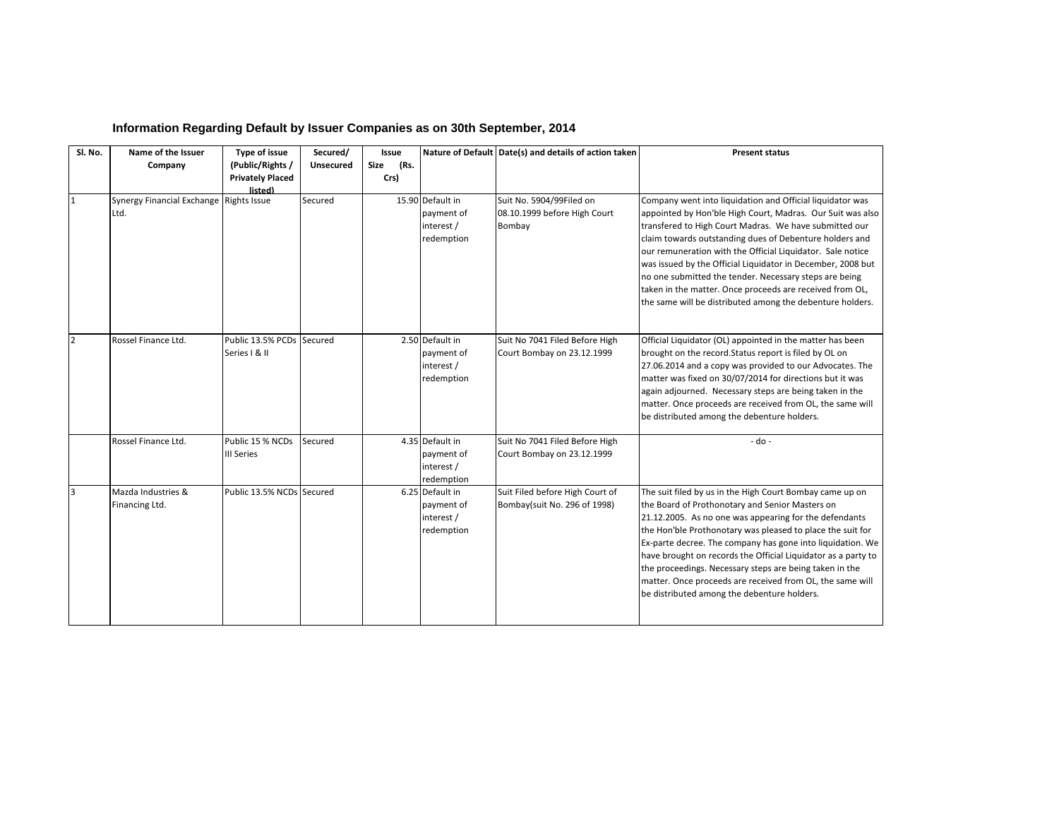| Sl. No.        | Name of the Issuer                              | Type of issue                              | Secured/  | Issue        |                                                            | Nature of Default Date(s) and details of action taken              | <b>Present status</b>                                                                                                                                                                                                                                                                                                                                                                                                                                                                                                                                        |
|----------------|-------------------------------------------------|--------------------------------------------|-----------|--------------|------------------------------------------------------------|--------------------------------------------------------------------|--------------------------------------------------------------------------------------------------------------------------------------------------------------------------------------------------------------------------------------------------------------------------------------------------------------------------------------------------------------------------------------------------------------------------------------------------------------------------------------------------------------------------------------------------------------|
|                | Company                                         | (Public/Rights /                           | Unsecured | (Rs.<br>Size |                                                            |                                                                    |                                                                                                                                                                                                                                                                                                                                                                                                                                                                                                                                                              |
|                |                                                 | <b>Privately Placed</b>                    |           | Crs)         |                                                            |                                                                    |                                                                                                                                                                                                                                                                                                                                                                                                                                                                                                                                                              |
| 1              | Synergy Financial Exchange Rights Issue<br>Ltd. | listed)                                    | Secured   |              | 15.90 Default in<br>payment of<br>interest /<br>redemption | Suit No. 5904/99Filed on<br>08.10.1999 before High Court<br>Bombay | Company went into liquidation and Official liquidator was<br>appointed by Hon'ble High Court, Madras. Our Suit was also<br>transfered to High Court Madras. We have submitted our<br>claim towards outstanding dues of Debenture holders and<br>our remuneration with the Official Liquidator. Sale notice<br>was issued by the Official Liquidator in December, 2008 but<br>no one submitted the tender. Necessary steps are being<br>taken in the matter. Once proceeds are received from OL,<br>the same will be distributed among the debenture holders. |
| $\overline{2}$ | Rossel Finance Ltd.                             | Public 13.5% PCDs Secured<br>Series   & II |           |              | 2.50 Default in<br>payment of<br>interest /<br>redemption  | Suit No 7041 Filed Before High<br>Court Bombay on 23.12.1999       | Official Liquidator (OL) appointed in the matter has been<br>brought on the record. Status report is filed by OL on<br>27.06.2014 and a copy was provided to our Advocates. The<br>matter was fixed on 30/07/2014 for directions but it was<br>again adjourned. Necessary steps are being taken in the<br>matter. Once proceeds are received from OL, the same will<br>be distributed among the debenture holders.                                                                                                                                           |
|                | Rossel Finance Ltd.                             | Public 15 % NCDs<br>III Series             | Secured   |              | 4.35 Default in<br>payment of<br>interest /<br>redemption  | Suit No 7041 Filed Before High<br>Court Bombay on 23.12.1999       | $-do -$                                                                                                                                                                                                                                                                                                                                                                                                                                                                                                                                                      |
| 3              | Mazda Industries &<br>Financing Ltd.            | Public 13.5% NCDs Secured                  |           |              | 6.25 Default in<br>payment of<br>interest /<br>redemption  | Suit Filed before High Court of<br>Bombay(suit No. 296 of 1998)    | The suit filed by us in the High Court Bombay came up on<br>the Board of Prothonotary and Senior Masters on<br>21.12.2005. As no one was appearing for the defendants<br>the Hon'ble Prothonotary was pleased to place the suit for<br>Ex-parte decree. The company has gone into liquidation. We<br>have brought on records the Official Liquidator as a party to<br>the proceedings. Necessary steps are being taken in the<br>matter. Once proceeds are received from OL, the same will<br>be distributed among the debenture holders.                    |

## **Information Regarding Default by Issuer Companies as on 30th September, 2014**